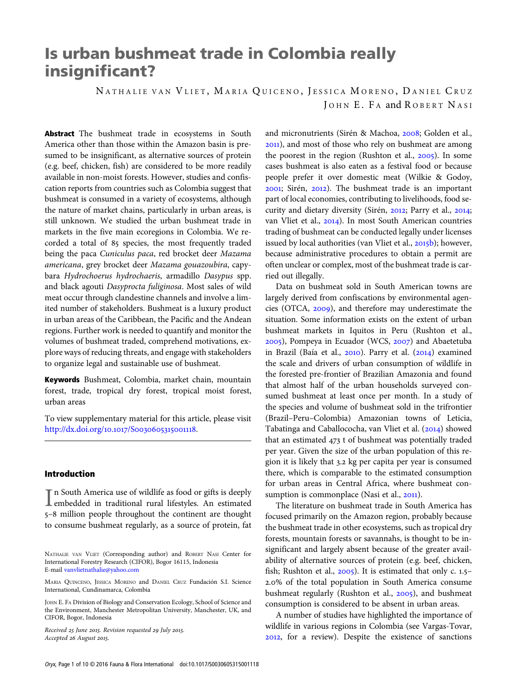# Is urban bushmeat trade in Colombia really insignificant?

NATHALIE VAN VLIET, MARIA QUICENO, JESSICA MORENO, DANIEL CRUZ JOHN E. FA and ROBERT NASI

Abstract The bushmeat trade in ecosystems in South America other than those within the Amazon basin is presumed to be insignificant, as alternative sources of protein (e.g. beef, chicken, fish) are considered to be more readily available in non-moist forests. However, studies and confiscation reports from countries such as Colombia suggest that bushmeat is consumed in a variety of ecosystems, although the nature of market chains, particularly in urban areas, is still unknown. We studied the urban bushmeat trade in markets in the five main ecoregions in Colombia. We recorded a total of 85 species, the most frequently traded being the paca Cuniculus paca, red brocket deer Mazama americana, grey brocket deer Mazama gouazoubira, capybara Hydrochoerus hydrochaeris, armadillo Dasypus spp. and black agouti Dasyprocta fuliginosa. Most sales of wild meat occur through clandestine channels and involve a limited number of stakeholders. Bushmeat is a luxury product in urban areas of the Caribbean, the Pacific and the Andean regions. Further work is needed to quantify and monitor the volumes of bushmeat traded, comprehend motivations, explore ways of reducing threats, and engage with stakeholders to organize legal and sustainable use of bushmeat.

Keywords Bushmeat, Colombia, market chain, mountain forest, trade, tropical dry forest, tropical moist forest, urban areas

To view supplementary material for this article, please visit [http:/](http://dx.doi.org/10.1017/S0030605315001118)/dx.doi.org/10.1017/S0030605315001118.

### Introduction

In South America use of wildlife as food or gifts is deeply<br>embedded in traditional rural lifestyles. An estimated embedded in traditional rural lifestyles. An estimated 5-8 million people throughout the continent are thought to consume bushmeat regularly, as a source of protein, fat

Received 25 June 2015. Revision requested 29 July 2015. Accepted 26 August 2015.

and micronutrients (Sirén & Machoa, 2008; Golden et al., ), and most of those who rely on bushmeat are among the poorest in the region (Rushton et al.,  $2005$ ). In some cases bushmeat is also eaten as a festival food or because people prefer it over domestic meat (Wilkie & Godoy, 2001; Sirén, 2012). The bushmeat trade is an important part of local economies, contributing to livelihoods, food security and dietary diversity (Sirén, 2012; Parry et al., 2014; van Vliet et al., 2014). In most South American countries trading of bushmeat can be conducted legally under licenses issued by local authorities (van Vliet et al., 2015b); however, because administrative procedures to obtain a permit are often unclear or complex, most of the bushmeat trade is carried out illegally.

Data on bushmeat sold in South American towns are largely derived from confiscations by environmental agencies (OTCA,  $2009$ ), and therefore may underestimate the situation. Some information exists on the extent of urban bushmeat markets in Iquitos in Peru (Rushton et al.,  $(2005)$ , Pompeya in Ecuador (WCS,  $2007$ ) and Abaetetuba in Brazil (Baía et al.,  $2010$ ). Parry et al.  $(2014)$  examined the scale and drivers of urban consumption of wildlife in the forested pre-frontier of Brazilian Amazonia and found that almost half of the urban households surveyed consumed bushmeat at least once per month. In a study of the species and volume of bushmeat sold in the trifrontier (Brazil–Peru–Colombia) Amazonian towns of Leticia, Tabatinga and Caballococha, van Vliet et al. (2014) showed that an estimated  $473$  t of bushmeat was potentially traded per year. Given the size of the urban population of this region it is likely that 3.2 kg per capita per year is consumed there, which is comparable to the estimated consumption for urban areas in Central Africa, where bushmeat consumption is commonplace (Nasi et al.,  $2011$ ).

The literature on bushmeat trade in South America has focused primarily on the Amazon region, probably because the bushmeat trade in other ecosystems, such as tropical dry forests, mountain forests or savannahs, is thought to be insignificant and largely absent because of the greater availability of alternative sources of protein (e.g. beef, chicken, fish; Rushton et al.,  $2005$ ). It is estimated that only c.  $1.5-$ .% of the total population in South America consume bushmeat regularly (Rushton et al., 2005), and bushmeat consumption is considered to be absent in urban areas.

A number of studies have highlighted the importance of wildlife in various regions in Colombia (see Vargas-Tovar, , for a review). Despite the existence of sanctions

NATHALIE VAN VLIET (Corresponding author) and ROBERT NASI Center for International Forestry Research (CIFOR), Bogor 16115, Indonesia E-mail [vanvlietnathalie@yahoo.com](mailto:vanvlietnathalie@yahoo.com)

MARIA QUINCENO, JESSICA MORENO and DANIEL CRUZ Fundación S.I. Science International, Cundinamarca, Colombia

JOHN E. FA Division of Biology and Conservation Ecology, School of Science and the Environment, Manchester Metropolitan University, Manchester, UK, and CIFOR, Bogor, Indonesia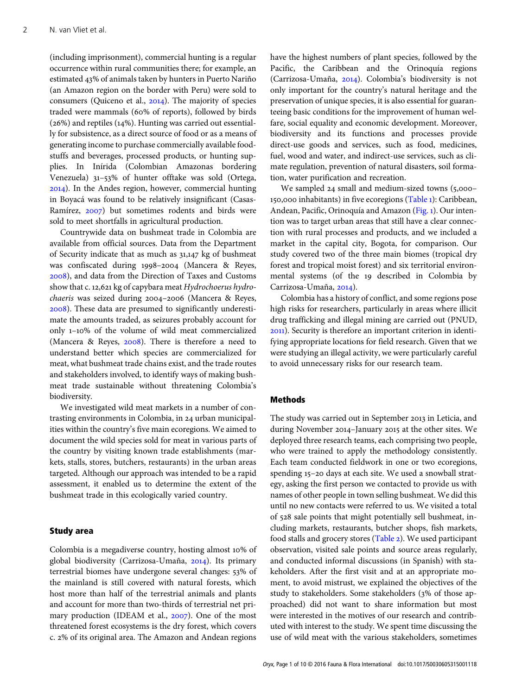(including imprisonment), commercial hunting is a regular occurrence within rural communities there; for example, an estimated 43% of animals taken by hunters in Puerto Nariño (an Amazon region on the border with Peru) were sold to consumers (Quiceno et al.,  $2014$ ). The majority of species traded were mammals (60% of reports), followed by birds  $(26%)$  and reptiles  $(14%)$ . Hunting was carried out essentially for subsistence, as a direct source of food or as a means of generating income to purchase commercially available foodstuffs and beverages, processed products, or hunting supplies. In Inírida (Colombian Amazonas bordering Venezuela)  $31-53\%$  of hunter offtake was sold (Ortega, ). In the Andes region, however, commercial hunting in Boyacá was found to be relatively insignificant (Casas-Ramírez, 2007) but sometimes rodents and birds were sold to meet shortfalls in agricultural production.

Countrywide data on bushmeat trade in Colombia are available from official sources. Data from the Department of Security indicate that as much as  $31,147$  kg of bushmeat was confiscated during 1998-2004 (Mancera & Reyes, ), and data from the Direction of Taxes and Customs show that c. 12,621 kg of capybara meat Hydrochoerus hydrochaeris was seized during 2004-2006 (Mancera & Reyes, ). These data are presumed to significantly underestimate the amounts traded, as seizures probably account for only  $1-10\%$  of the volume of wild meat commercialized (Mancera & Reyes,  $2008$ ). There is therefore a need to understand better which species are commercialized for meat, what bushmeat trade chains exist, and the trade routes and stakeholders involved, to identify ways of making bushmeat trade sustainable without threatening Colombia's biodiversity.

We investigated wild meat markets in a number of contrasting environments in Colombia, in 24 urban municipalities within the country's five main ecoregions. We aimed to document the wild species sold for meat in various parts of the country by visiting known trade establishments (markets, stalls, stores, butchers, restaurants) in the urban areas targeted. Although our approach was intended to be a rapid assessment, it enabled us to determine the extent of the bushmeat trade in this ecologically varied country.

#### Study area

Colombia is a megadiverse country, hosting almost 10% of global biodiversity (Carrizosa-Umaña, 2014). Its primary terrestrial biomes have undergone several changes: 53% of the mainland is still covered with natural forests, which host more than half of the terrestrial animals and plants and account for more than two-thirds of terrestrial net primary production (IDEAM et al.,  $2007$ ). One of the most threatened forest ecosystems is the dry forest, which covers c. 2% of its original area. The Amazon and Andean regions have the highest numbers of plant species, followed by the Pacific, the Caribbean and the Orinoquía regions (Carrizosa-Umaña, 2014). Colombia's biodiversity is not only important for the country's natural heritage and the preservation of unique species, it is also essential for guaranteeing basic conditions for the improvement of human welfare, social equality and economic development. Moreover, biodiversity and its functions and processes provide direct-use goods and services, such as food, medicines, fuel, wood and water, and indirect-use services, such as climate regulation, prevention of natural disasters, soil formation, water purification and recreation.

We sampled  $24$  small and medium-sized towns (5,000– 150,000 inhabitants) in five ecoregions ([Table](#page-2-0) 1): Caribbean, Andean, Pacific, Orinoquía and Amazon [\(Fig.](#page-3-0) ). Our intention was to target urban areas that still have a clear connection with rural processes and products, and we included a market in the capital city, Bogota, for comparison. Our study covered two of the three main biomes (tropical dry forest and tropical moist forest) and six territorial environmental systems (of the 19 described in Colombia by Carrizosa-Umaña, 2014).

Colombia has a history of conflict, and some regions pose high risks for researchers, particularly in areas where illicit drug trafficking and illegal mining are carried out (PNUD, ). Security is therefore an important criterion in identifying appropriate locations for field research. Given that we were studying an illegal activity, we were particularly careful to avoid unnecessary risks for our research team.

## Methods

The study was carried out in September 2013 in Leticia, and during November 2014-January 2015 at the other sites. We deployed three research teams, each comprising two people, who were trained to apply the methodology consistently. Each team conducted fieldwork in one or two ecoregions, spending 15-20 days at each site. We used a snowball strategy, asking the first person we contacted to provide us with names of other people in town selling bushmeat. We did this until no new contacts were referred to us. We visited a total of 528 sale points that might potentially sell bushmeat, including markets, restaurants, butcher shops, fish markets, food stalls and grocery stores ([Table](#page-4-0) 2). We used participant observation, visited sale points and source areas regularly, and conducted informal discussions (in Spanish) with stakeholders. After the first visit and at an appropriate moment, to avoid mistrust, we explained the objectives of the study to stakeholders. Some stakeholders (3% of those approached) did not want to share information but most were interested in the motives of our research and contributed with interest to the study. We spent time discussing the use of wild meat with the various stakeholders, sometimes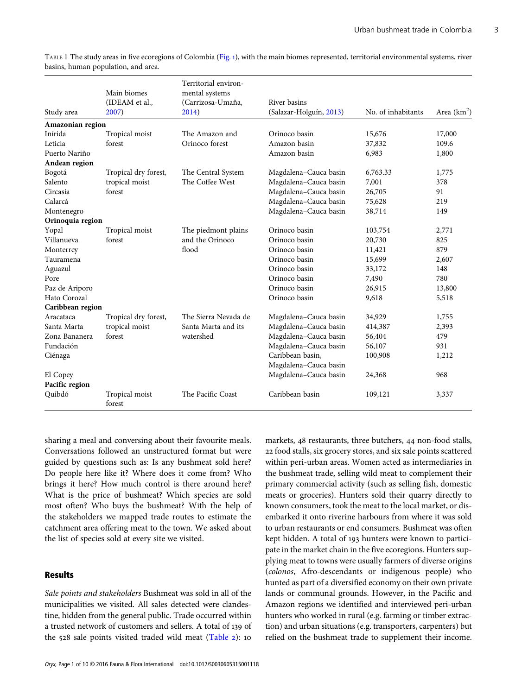| Study area       | Main biomes<br>(IDEAM et al.,<br>2007) | Territorial environ-<br>mental systems<br>(Carrizosa-Umaña,<br>2014) | River basins<br>(Salazar-Holguín, 2013) | No. of inhabitants | Area $(km^2)$ |
|------------------|----------------------------------------|----------------------------------------------------------------------|-----------------------------------------|--------------------|---------------|
| Amazonian region |                                        |                                                                      |                                         |                    |               |
| Inírida          | Tropical moist                         | The Amazon and                                                       | Orinoco basin                           | 15,676             | 17,000        |
| Leticia          | forest                                 | Orinoco forest                                                       | Amazon basin                            | 37,832             | 109.6         |
| Puerto Nariño    |                                        |                                                                      | Amazon basin                            | 6,983              | 1,800         |
| Andean region    |                                        |                                                                      |                                         |                    |               |
| Bogotá           | Tropical dry forest,                   | The Central System                                                   | Magdalena-Cauca basin                   | 6,763.33           | 1,775         |
| Salento          | tropical moist                         | The Coffee West                                                      | Magdalena-Cauca basin                   | 7,001              | 378           |
| Circasia         | forest                                 |                                                                      | Magdalena-Cauca basin                   | 26,705             | 91            |
| Calarcá          |                                        |                                                                      | Magdalena-Cauca basin                   | 75,628             | 219           |
| Montenegro       |                                        |                                                                      | Magdalena-Cauca basin                   | 38,714             | 149           |
| Orinoquia region |                                        |                                                                      |                                         |                    |               |
| Yopal            | Tropical moist                         | The piedmont plains                                                  | Orinoco basin                           | 103,754            | 2,771         |
| Villanueva       | forest                                 | and the Orinoco                                                      | Orinoco basin                           | 20,730             | 825           |
| Monterrey        |                                        | flood                                                                | Orinoco basin                           | 11,421             | 879           |
| Tauramena        |                                        |                                                                      | Orinoco basin                           | 15,699             | 2,607         |
| Aguazul          |                                        |                                                                      | Orinoco basin                           | 33,172             | 148           |
| Pore             |                                        |                                                                      | Orinoco basin                           | 7,490              | 780           |
| Paz de Ariporo   |                                        |                                                                      | Orinoco basin                           | 26,915             | 13,800        |
| Hato Corozal     |                                        |                                                                      | Orinoco basin                           | 9,618              | 5,518         |
| Caribbean region |                                        |                                                                      |                                         |                    |               |
| Aracataca        | Tropical dry forest,                   | The Sierra Nevada de                                                 | Magdalena-Cauca basin                   | 34,929             | 1,755         |
| Santa Marta      | tropical moist                         | Santa Marta and its                                                  | Magdalena-Cauca basin                   | 414,387            | 2,393         |
| Zona Bananera    | forest                                 | watershed                                                            | Magdalena-Cauca basin                   | 56,404             | 479           |
| Fundación        |                                        |                                                                      | Magdalena-Cauca basin                   | 56,107             | 931           |
| Ciénaga          |                                        |                                                                      | Caribbean basin,                        | 100,908            | 1,212         |
|                  |                                        |                                                                      | Magdalena-Cauca basin                   |                    |               |
| El Copey         |                                        |                                                                      | Magdalena-Cauca basin                   | 24,368             | 968           |
| Pacific region   |                                        |                                                                      |                                         |                    |               |
| Quibdó           | Tropical moist<br>forest               | The Pacific Coast                                                    | Caribbean basin                         | 109,121            | 3,337         |

<span id="page-2-0"></span>TABLE 1 The study areas in five ecoregions of Colombia [\(Fig.](#page-3-0) ), with the main biomes represented, territorial environmental systems, river basins, human population, and area.

sharing a meal and conversing about their favourite meals. Conversations followed an unstructured format but were guided by questions such as: Is any bushmeat sold here? Do people here like it? Where does it come from? Who brings it here? How much control is there around here? What is the price of bushmeat? Which species are sold most often? Who buys the bushmeat? With the help of the stakeholders we mapped trade routes to estimate the catchment area offering meat to the town. We asked about the list of species sold at every site we visited.

### Results

Sale points and stakeholders Bushmeat was sold in all of the municipalities we visited. All sales detected were clandestine, hidden from the general public. Trade occurred within a trusted network of customers and sellers. A total of 139 of the  $528$  sale points visited traded wild meat [\(Table](#page-4-0) 2): 10

markets, 48 restaurants, three butchers, 44 non-food stalls, food stalls, six grocery stores, and six sale points scattered within peri-urban areas. Women acted as intermediaries in the bushmeat trade, selling wild meat to complement their primary commercial activity (such as selling fish, domestic meats or groceries). Hunters sold their quarry directly to known consumers, took the meat to the local market, or disembarked it onto riverine harbours from where it was sold to urban restaurants or end consumers. Bushmeat was often kept hidden. A total of 193 hunters were known to participate in the market chain in the five ecoregions. Hunters supplying meat to towns were usually farmers of diverse origins (colonos, Afro-descendants or indigenous people) who hunted as part of a diversified economy on their own private lands or communal grounds. However, in the Pacific and Amazon regions we identified and interviewed peri-urban hunters who worked in rural (e.g. farming or timber extraction) and urban situations (e.g. transporters, carpenters) but relied on the bushmeat trade to supplement their income.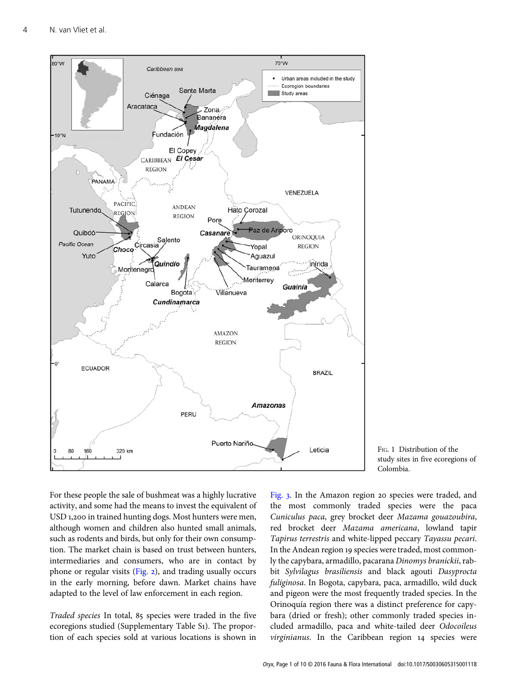<span id="page-3-0"></span>

FIG. 1 Distribution of the study sites in five ecoregions of Colombia.

For these people the sale of bushmeat was a highly lucrative activity, and some had the means to invest the equivalent of USD 1,200 in trained hunting dogs. Most hunters were men, although women and children also hunted small animals, such as rodents and birds, but only for their own consumption. The market chain is based on trust between hunters, intermediaries and consumers, who are in contact by phone or regular visits ([Fig.](#page-5-0)  $2$ ), and trading usually occurs in the early morning, before dawn. Market chains have adapted to the level of law enforcement in each region.

Traded species In total, 85 species were traded in the five ecoregions studied (Supplementary Table S1). The proportion of each species sold at various locations is shown in [Fig.](#page-6-0) 3. In the Amazon region 20 species were traded, and the most commonly traded species were the paca Cuniculus paca, grey brocket deer Mazama gouazoubira, red brocket deer Mazama americana, lowland tapir Tapirus terrestris and white-lipped peccary Tayassu pecari. In the Andean region 19 species were traded, most commonly the capybara, armadillo, pacarana Dinomys branickii, rabbit Sylvilagus brasiliensis and black agouti Dasyprocta fuliginosa. In Bogota, capybara, paca, armadillo, wild duck and pigeon were the most frequently traded species. In the Orinoquía region there was a distinct preference for capybara (dried or fresh); other commonly traded species included armadillo, paca and white-tailed deer Odocoileus virginianus. In the Caribbean region 14 species were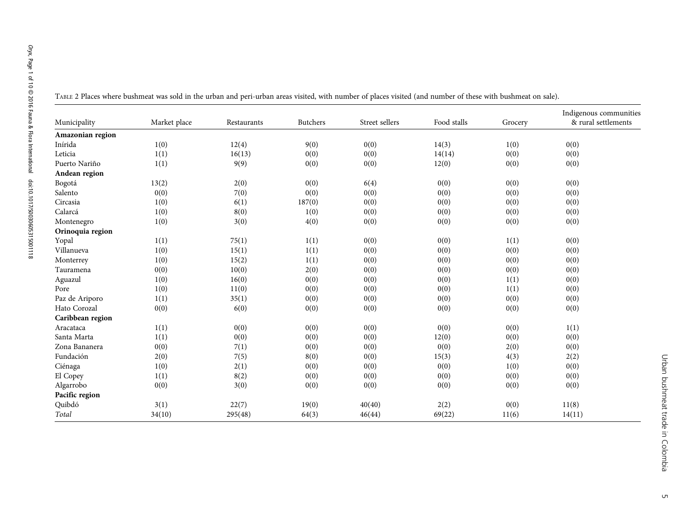|                  |              | $\mathbf{r}$ |                 |                |             |         |                                               |
|------------------|--------------|--------------|-----------------|----------------|-------------|---------|-----------------------------------------------|
| Municipality     | Market place | Restaurants  | <b>Butchers</b> | Street sellers | Food stalls | Grocery | Indigenous communities<br>& rural settlements |
| Amazonian region |              |              |                 |                |             |         |                                               |
| Inírida          | 1(0)         | 12(4)        | 9(0)            | 0(0)           | 14(3)       | 1(0)    | 0(0)                                          |
| Leticia          | 1(1)         | 16(13)       | 0(0)            | 0(0)           | 14(14)      | 0(0)    | 0(0)                                          |
| Puerto Nariño    | 1(1)         | 9(9)         | 0(0)            | 0(0)           | 12(0)       | 0(0)    | 0(0)                                          |
| Andean region    |              |              |                 |                |             |         |                                               |
| Bogotá           | 13(2)        | 2(0)         | 0(0)            | 6(4)           | 0(0)        | 0(0)    | 0(0)                                          |
| Salento          | 0(0)         | 7(0)         | 0(0)            | 0(0)           | 0(0)        | 0(0)    | 0(0)                                          |
| Circasia         | 1(0)         | 6(1)         | 187(0)          | 0(0)           | 0(0)        | 0(0)    | 0(0)                                          |
| Calarcá          | 1(0)         | 8(0)         | 1(0)            | 0(0)           | 0(0)        | 0(0)    | 0(0)                                          |
| Montenegro       | 1(0)         | 3(0)         | 4(0)            | 0(0)           | 0(0)        | 0(0)    | 0(0)                                          |
| Orinoquia region |              |              |                 |                |             |         |                                               |
| Yopal            | 1(1)         | 75(1)        | 1(1)            | 0(0)           | 0(0)        | 1(1)    | 0(0)                                          |
| Villanueva       | 1(0)         | 15(1)        | 1(1)            | 0(0)           | 0(0)        | 0(0)    | 0(0)                                          |
| Monterrey        | 1(0)         | 15(2)        | 1(1)            | 0(0)           | 0(0)        | 0(0)    | 0(0)                                          |
| Tauramena        | 0(0)         | 10(0)        | 2(0)            | 0(0)           | 0(0)        | 0(0)    | 0(0)                                          |
| Aguazul          | 1(0)         | 16(0)        | 0(0)            | 0(0)           | 0(0)        | 1(1)    | 0(0)                                          |
| Pore             | 1(0)         | 11(0)        | 0(0)            | 0(0)           | 0(0)        | 1(1)    | 0(0)                                          |
| Paz de Ariporo   | 1(1)         | 35(1)        | 0(0)            | 0(0)           | 0(0)        | 0(0)    | 0(0)                                          |
| Hato Corozal     | 0(0)         | 6(0)         | 0(0)            | 0(0)           | 0(0)        | 0(0)    | 0(0)                                          |
| Caribbean region |              |              |                 |                |             |         |                                               |
| Aracataca        | 1(1)         | 0(0)         | 0(0)            | 0(0)           | 0(0)        | 0(0)    | 1(1)                                          |
| Santa Marta      | 1(1)         | 0(0)         | 0(0)            | 0(0)           | 12(0)       | 0(0)    | 0(0)                                          |
| Zona Bananera    | 0(0)         | 7(1)         | 0(0)            | 0(0)           | 0(0)        | 2(0)    | 0(0)                                          |
| Fundación        | 2(0)         | 7(5)         | 8(0)            | 0(0)           | 15(3)       | 4(3)    | 2(2)                                          |
| Ciénaga          | 1(0)         | 2(1)         | 0(0)            | 0(0)           | 0(0)        | 1(0)    | 0(0)                                          |
| El Copey         | 1(1)         | 8(2)         | 0(0)            | 0(0)           | 0(0)        | 0(0)    | 0(0)                                          |
| Algarrobo        | 0(0)         | 3(0)         | 0(0)            | 0(0)           | 0(0)        | 0(0)    | 0(0)                                          |
| Pacific region   |              |              |                 |                |             |         |                                               |
| Quibdó           | 3(1)         | 22(7)        | 19(0)           | 40(40)         | 2(2)        | 0(0)    | 11(8)                                         |
| Total            | 34(10)       | 295(48)      | 64(3)           | 46(44)         | 69(22)      | 11(6)   | 14(11)                                        |
|                  |              |              |                 |                |             |         |                                               |

<span id="page-4-0"></span>TABLE <sup>2</sup> Places where bushmeat was sold in the urban and peri-urban areas visited, with number of places visited (and number of these with bushmeat on sale).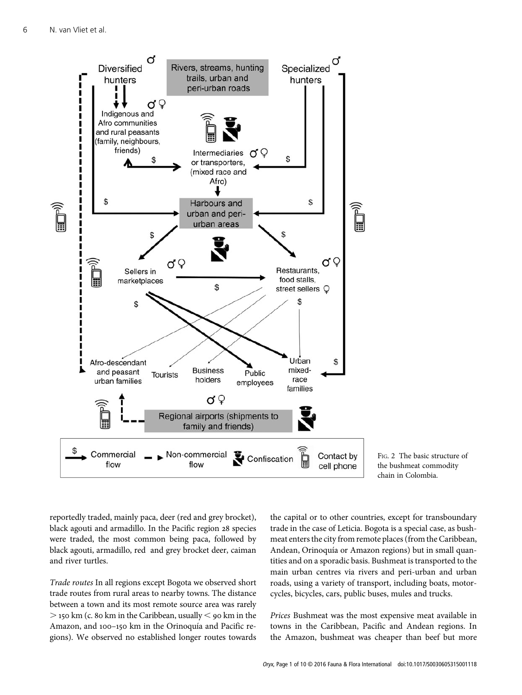<span id="page-5-0"></span>



reportedly traded, mainly paca, deer (red and grey brocket), black agouti and armadillo. In the Pacific region 28 species were traded, the most common being paca, followed by black agouti, armadillo, red and grey brocket deer, caiman and river turtles.

Trade routes In all regions except Bogota we observed short trade routes from rural areas to nearby towns. The distance between a town and its most remote source area was rarely  $>$  150 km (c. 80 km in the Caribbean, usually  $<$  90 km in the Amazon, and 100-150 km in the Orinoquía and Pacific regions). We observed no established longer routes towards

the capital or to other countries, except for transboundary trade in the case of Leticia. Bogota is a special case, as bushmeat enters the city from remote places (from the Caribbean, Andean, Orinoquía or Amazon regions) but in small quantities and on a sporadic basis. Bushmeat is transported to the main urban centres via rivers and peri-urban and urban roads, using a variety of transport, including boats, motorcycles, bicycles, cars, public buses, mules and trucks.

Prices Bushmeat was the most expensive meat available in towns in the Caribbean, Pacific and Andean regions. In the Amazon, bushmeat was cheaper than beef but more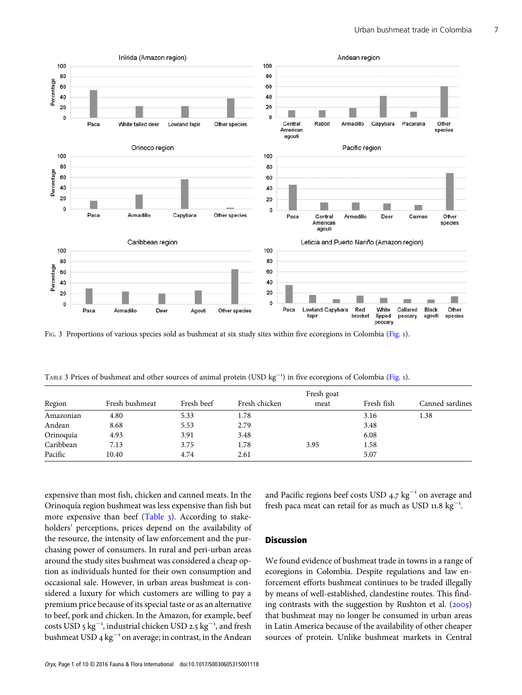<span id="page-6-0"></span>

FIG. 3 Proportions of various species sold as bushmeat at six study sites within five ecoregions in Colombia ([Fig.](#page-3-0) 1).

TABLE 3 Prices of bushmeat and other sources of animal protein (USD kg<sup>-1</sup>) in five ecoregions of Colombia ([Fig.](#page-3-0) 1).

| Region    | Fresh bushmeat |            |               | Fresh goat |            |                 |
|-----------|----------------|------------|---------------|------------|------------|-----------------|
|           |                | Fresh beef | Fresh chicken | meat       | Fresh fish | Canned sardines |
| Amazonian | 4.80           | 5.33       | 1.78          |            | 3.16       | 1.38            |
| Andean    | 8.68           | 5.53       | 2.79          |            | 3.48       |                 |
| Orinoquia | 4.93           | 3.91       | 3.48          |            | 6.08       |                 |
| Caribbean | 7.13           | 3.75       | 1.78          | 3.95       | 1.58       |                 |
| Pacific   | 10.40          | 4.74       | 2.61          |            | 5.07       |                 |

expensive than most fish, chicken and canned meats. In the Orinoquía region bushmeat was less expensive than fish but more expensive than beef (Table 3). According to stakeholders' perceptions, prices depend on the availability of the resource, the intensity of law enforcement and the purchasing power of consumers. In rural and peri-urban areas around the study sites bushmeat was considered a cheap option as individuals hunted for their own consumption and occasional sale. However, in urban areas bushmeat is considered a luxury for which customers are willing to pay a premium price because of its special taste or as an alternative to beef, pork and chicken. In the Amazon, for example, beef costs USD 5  $kg^{-1}$ , industrial chicken USD 2.5  $kg^{-1}$ , and fresh bushmeat USD 4  $kg^{-1}$  on average; in contrast, in the Andean

and Pacific regions beef costs USD  $4.7 \text{ kg}^{-1}$  on average and fresh paca meat can retail for as much as USD  $11.8 \text{ kg}^{-1}$ .

## **Discussion**

We found evidence of bushmeat trade in towns in a range of ecoregions in Colombia. Despite regulations and law enforcement efforts bushmeat continues to be traded illegally by means of well-established, clandestine routes. This finding contrasts with the suggestion by Rushton et al.  $(2005)$ that bushmeat may no longer be consumed in urban areas in Latin America because of the availability of other cheaper sources of protein. Unlike bushmeat markets in Central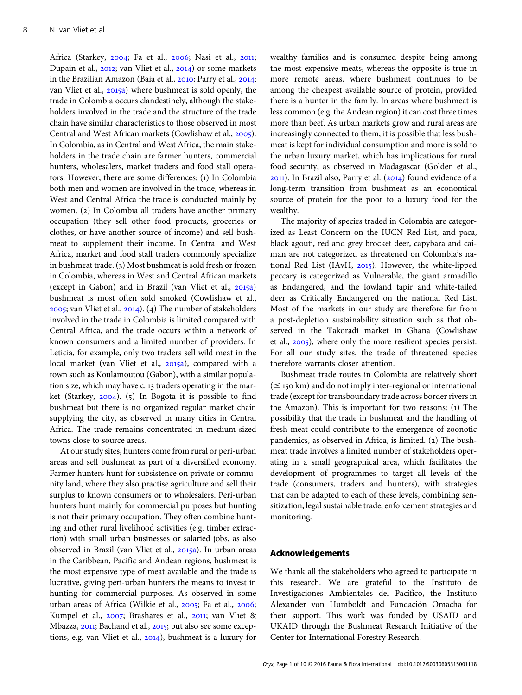Africa (Starkey, 2004; Fa et al., 2006; Nasi et al., 2011; Dupain et al., 2012; van Vliet et al., 2014) or some markets in the Brazilian Amazon (Baía et al., 2010; Parry et al., 2014; van Vliet et al., 2015a) where bushmeat is sold openly, the trade in Colombia occurs clandestinely, although the stakeholders involved in the trade and the structure of the trade chain have similar characteristics to those observed in most Central and West African markets (Cowlishaw et al., 2005). In Colombia, as in Central and West Africa, the main stakeholders in the trade chain are farmer hunters, commercial hunters, wholesalers, market traders and food stall operators. However, there are some differences: (1) In Colombia both men and women are involved in the trade, whereas in West and Central Africa the trade is conducted mainly by women. (2) In Colombia all traders have another primary occupation (they sell other food products, groceries or clothes, or have another source of income) and sell bushmeat to supplement their income. In Central and West Africa, market and food stall traders commonly specialize in bushmeat trade. (3) Most bushmeat is sold fresh or frozen in Colombia, whereas in West and Central African markets (except in Gabon) and in Brazil (van Vliet et al.,  $2015a$ ) bushmeat is most often sold smoked (Cowlishaw et al.,  $2005$ ; van Vliet et al.,  $2014$ ). (4) The number of stakeholders involved in the trade in Colombia is limited compared with Central Africa, and the trade occurs within a network of known consumers and a limited number of providers. In Leticia, for example, only two traders sell wild meat in the local market (van Vliet et al., 2015a), compared with a town such as Koulamoutou (Gabon), with a similar population size, which may have c. 13 traders operating in the market (Starkey,  $2004$ ). (5) In Bogota it is possible to find bushmeat but there is no organized regular market chain supplying the city, as observed in many cities in Central Africa. The trade remains concentrated in medium-sized towns close to source areas.

At our study sites, hunters come from rural or peri-urban areas and sell bushmeat as part of a diversified economy. Farmer hunters hunt for subsistence on private or community land, where they also practise agriculture and sell their surplus to known consumers or to wholesalers. Peri-urban hunters hunt mainly for commercial purposes but hunting is not their primary occupation. They often combine hunting and other rural livelihood activities (e.g. timber extraction) with small urban businesses or salaried jobs, as also observed in Brazil (van Vliet et al., 2015a). In urban areas in the Caribbean, Pacific and Andean regions, bushmeat is the most expensive type of meat available and the trade is lucrative, giving peri-urban hunters the means to invest in hunting for commercial purposes. As observed in some urban areas of Africa (Wilkie et al., 2005; Fa et al., 2006; Kümpel et al., 2007; Brashares et al., 2011; van Vliet & Mbazza, 2011; Bachand et al., 2015; but also see some exceptions, e.g. van Vliet et al.,  $2014$ ), bushmeat is a luxury for wealthy families and is consumed despite being among the most expensive meats, whereas the opposite is true in more remote areas, where bushmeat continues to be among the cheapest available source of protein, provided there is a hunter in the family. In areas where bushmeat is less common (e.g. the Andean region) it can cost three times more than beef. As urban markets grow and rural areas are increasingly connected to them, it is possible that less bushmeat is kept for individual consumption and more is sold to the urban luxury market, which has implications for rural food security, as observed in Madagascar (Golden et al.,  $2011$ ). In Brazil also, Parry et al.  $(2014)$  found evidence of a long-term transition from bushmeat as an economical source of protein for the poor to a luxury food for the wealthy.

The majority of species traded in Colombia are categorized as Least Concern on the IUCN Red List, and paca, black agouti, red and grey brocket deer, capybara and caiman are not categorized as threatened on Colombia's national Red List (IAvH,  $2015$ ). However, the white-lipped peccary is categorized as Vulnerable, the giant armadillo as Endangered, and the lowland tapir and white-tailed deer as Critically Endangered on the national Red List. Most of the markets in our study are therefore far from a post-depletion sustainability situation such as that observed in the Takoradi market in Ghana (Cowlishaw et al.,  $2005$ ), where only the more resilient species persist. For all our study sites, the trade of threatened species therefore warrants closer attention.

Bushmeat trade routes in Colombia are relatively short  $(\leq$  150 km) and do not imply inter-regional or international trade (except for transboundary trade across border rivers in the Amazon). This is important for two reasons:  $(i)$  The possibility that the trade in bushmeat and the handling of fresh meat could contribute to the emergence of zoonotic pandemics, as observed in Africa, is limited. (2) The bushmeat trade involves a limited number of stakeholders operating in a small geographical area, which facilitates the development of programmes to target all levels of the trade (consumers, traders and hunters), with strategies that can be adapted to each of these levels, combining sensitization, legal sustainable trade, enforcement strategies and monitoring.

#### Acknowledgements

We thank all the stakeholders who agreed to participate in this research. We are grateful to the Instituto de Investigaciones Ambientales del Pacífico, the Instituto Alexander von Humboldt and Fundación Omacha for their support. This work was funded by USAID and UKAID through the Bushmeat Research Initiative of the Center for International Forestry Research.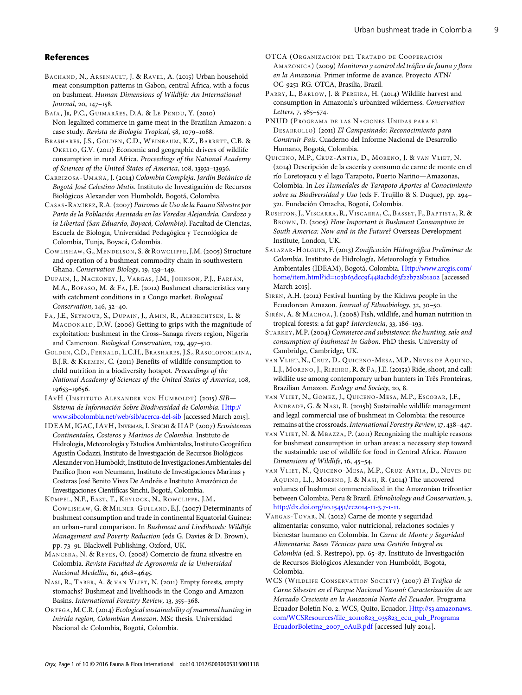#### <span id="page-8-0"></span>References

- BACHAND, N., ARSENAULT, J. & RAVEL, A. (2015) Urban household meat consumption patterns in Gabon, central Africa, with a focus on bushmeat. Human Dimensions of Wildlife: An International Journal, 20, 147-158.
- BAÍA, JR, P.C., GUIMARÃES, D.A. & LE PENDU, Y. (2010) Non-legalized commerce in game meat in the Brazilian Amazon: a case study. Revista de Biología Tropical, 58, 1079-1088.
- BRASHARES, J.S., GOLDEN, C.D., WEINBAUM, K.Z., BARRETT, C.B. & OKELLO, G.V. (2011) Economic and geographic drivers of wildlife consumption in rural Africa. Proceedings of the National Academy of Sciences of the United States of America, 108, 13931-13936.
- CARRIZOSA-UMAÑA, J. (2014) Colombia Compleja. Jardín Botánico de Bogotá José Celestino Mutis. Instituto de Investigación de Recursos Biológicos Alexander von Humboldt, Bogotá, Colombia.
- CASAS-RAMÍREZ, R.A. (2007) Patrones de Uso de la Fauna Silvestre por Parte de la Población Asentada en las Veredas Alejandría, Cardozo y la Libertad (San Eduardo, Boyacá, Colombia). Facultad de Ciencias, Escuela de Biología, Universidad Pedagógica y Tecnológica de Colombia, Tunja, Boyacá, Colombia.
- COWLISHAW, G., MENDELSON, S. & ROWCLIFFE, J.M. (2005) Structure and operation of a bushmeat commodity chain in southwestern Ghana. Conservation Biology, 19, 139-149.
- DUPAIN, J., NACKONEY, J., VARGAS , J.M., JOHNSON, P.J., FARFÁN, M.A., BOFASO, M. & FA, J.E. (2012) Bushmeat characteristics vary with catchment conditions in a Congo market. Biological Conservation,  $146, 32 - 40$ .
- FA, J.E., SEYMOUR, S., DUPAIN, J., AMIN, R., ALBRECHTSEN, L. & MACDONALD, D.W. (2006) Getting to grips with the magnitude of exploitation: bushmeat in the Cross–Sanaga rivers region, Nigeria and Cameroon. Biological Conservation, 129, 497-510.
- GOLDEN, C.D., FERNALD, L.C.H., BRASHARES , J.S., RASOLOFONIAINA, B.J.R. & KREMEN, C. (2011) Benefits of wildlife consumption to child nutrition in a biodiversity hotspot. Proceedings of the National Academy of Sciences of the United States of America, 108, 19653-19656.
- IAVH (INSTITUTO ALEXANDER VON HUMBOLDT) (2015) SIB-Sistema de Información Sobre Biodiversidad de Colombia. [Http://](http://www.sibcolombia.net/web/sib/acerca-del-sib) [www.sibcolombia.net/web/sib/acerca-del-sib](http://www.sibcolombia.net/web/sib/acerca-del-sib) [accessed March 2015].
- IDEAM, IGAC, IAVH, INVEMAR, I. SINCHI & IIAP (2007) Ecosistemas Continentales, Costeros y Marinos de Colombia. Instituto de Hidrología, Meteorología y Estudios Ambientales, Instituto Geográfico Agustín Codazzi, Instituto de Investigación de Recursos Biológicos Alexander von Humboldt, Instituto de Investigaciones Ambientales del Pacífico Jhon von Neumann, Instituto de Investigaciones Marinas y Costeras José Benito Vives De Andréis e Instituto Amazónico de Investigaciones Científicas Sinchi, Bogotá, Colombia.
- KÜMPEL, N.F., EAST, T., KEYLOCK, N., ROWCLIFFE, J.M., COWLISHAW, G. & MILNER-GULLAND, E.J. (2007) Determinants of bushmeat consumption and trade in continental Equatorial Guinea: an urban–rural comparison. In Bushmeat and Livelihoods: Wildlife Management and Poverty Reduction (eds G. Davies & D. Brown), pp. 73-91. Blackwell Publishing, Oxford, UK.
- MANCERA, N. & REYES, O. (2008) Comercio de fauna silvestre en Colombia. Revista Facultad de Agronomía de la Universidad Nacional Medellín, 61, 4618-4645.
- NASI, R., TABER, A. & VAN VLIET, N. (2011) Empty forests, empty stomachs? Bushmeat and livelihoods in the Congo and Amazon Basins. International Forestry Review, 13, 355-368.
- ORTEGA, M.C.R. (2014) Ecological sustainability of mammal hunting in Inírida region, Colombian Amazon. MSc thesis. Universidad Nacional de Colombia, Bogotá, Colombia.
- OTCA (ORGANIZACIÓN DEL TRATADO DE COOPERACIÓN AMAZÓNICA) (2009) Monitoreo y control del tráfico de fauna y flora en la Amazonia. Primer informe de avance. Proyecto ATN/ OC-9251-RG. OTCA, Brasilia, Brazil.
- PARRY, L., BARLOW, J. & PEREIRA, H. (2014) Wildlife harvest and consumption in Amazonia's urbanized wilderness. Conservation Letters, 7, 565-574.
- PNUD (PROGRAMA DE LAS NACIONES UNIDAS PARA EL DESARROLLO) (2011) El Campesinado: Reconocimiento para Construir País. Cuaderno del Informe Nacional de Desarrollo Humano, Bogotá, Colombia.
- QUICENO, M.P., CRUZ-ANTIA, D., MORENO, J. & VAN VLIET, N. () Descripción de la cacería y consumo de carne de monte en el río Loretoyacu y el lago Tarapoto, Puerto Nariño—Amazonas, Colombia. In Los Humedales de Tarapoto Aportes al Conocimiento sobre su Biodiversidad y Uso (eds F. Trujillo & S. Duque), pp. 294-. Fundación Omacha, Bogotá, Colombia.
- RUSHTON, J., VISCARRA, R., VISCARRA, C., BASSET, F., BAPTISTA, R. & BROWN, D. (2005) How Important is Bushmeat Consumption in South America: Now and in the Future? Overseas Development Institute, London, UK.
- SALAZAR-HOLGUÍN, F. (2013) Zonificación Hidrográfica Preliminar de Colombia. Instituto de Hidrología, Meteorología y Estudios Ambientales (IDEAM), Bogotá, Colombia. [Http://www.arcgis.com/](http://www.arcgis.com/home/item.html?id=103b63dcc9f448acbd63f22b728b1a02) [home/item.html?id=](http://www.arcgis.com/home/item.html?id=103b63dcc9f448acbd63f22b728b1a02)103b63dcc9f448acbd63f22b728b1a02 [accessed March 2015].
- SIRÉN, A.H. (2012) Festival hunting by the Kichwa people in the Ecuadorean Amazon. Journal of Ethnobiology, 32, 30-50.
- SIRÉN, A. & MACHOA, J. (2008) Fish, wildlife, and human nutrition in tropical forests: a fat gap? Interciencia, 33, 186-193.
- STARKEY, M.P. (2004) Commerce and subsistence: the hunting, sale and consumption of bushmeat in Gabon. PhD thesis. University of Cambridge, Cambridge, UK.
- VAN VLIET, N., CRUZ, D., QUICENO-MESA, M.P., NEVES DE AQUINO, L.J., MORENO, J., RIBEIRO, R. & FA, J.E. (2015a) Ride, shoot, and call: wildlife use among contemporary urban hunters in Três Fronteiras, Brazilian Amazon. Ecology and Society, 20, 8.
- VAN VLIET, N., GOMEZ, J., QUICENO-MESA, M.P., ESCOBAR, J.F., ANDRADE, G. & NASI, R. (2015b) Sustainable wildlife management and legal commercial use of bushmeat in Colombia: the resource remains at the crossroads. International Forestry Review, 17, 438-447.
- VAN VLIET, N. & MBAZZA, P. (2011) Recognizing the multiple reasons for bushmeat consumption in urban areas: a necessary step toward the sustainable use of wildlife for food in Central Africa. Human Dimensions of Wildlife, 16, 45-54.
- VAN VLIET, N., QUICENO-MESA, M.P., CRUZ-ANTIA, D., NEVES DE AQUINO, L.J., MORENO, J. & NASI, R. (2014) The uncovered volumes of bushmeat commercialized in the Amazonian trifrontier between Colombia, Peru & Brazil. Ethnobiology and Conservation, 3, [http://dx.doi.org/](http://dx.doi.org/10.15451/ec2014-11-3.7-1-11)10.15451/ec2014-11-3.7-1-11.
- VARGAS-TOVAR, N. (2012) Carne de monte y seguridad alimentaria: consumo, valor nutricional, relaciones sociales y bienestar humano en Colombia. In Carne de Monte y Seguridad Alimentaria: Bases Técnicas para una Gestión Integral en Colombia (ed. S. Restrepo), pp. 65-87. Instituto de Investigación de Recursos Biológicos Alexander von Humboldt, Bogotá, Colombia.
- WCS (WILDLIFE CONSERVATION SOCIETY) (2007) El Tráfico de Carne Silvestre en el Parque Nacional Yasuní: Caracterización de un Mercado Creciente en la Amazonía Norte del Ecuador. Programa Ecuador Boletín No. 2. WCS, Quito, Ecuador. [Http:/](http://s3.amazonaws.com/WCSResources/file_20110823_035823_ecu_pub_ProgramaEcuadorBoletin2_2007_oAuB.pdf)/s3[.amazonaws.](http://s3.amazonaws.com/WCSResources/file_20110823_035823_ecu_pub_ProgramaEcuadorBoletin2_2007_oAuB.pdf) [com/WCSResources/file\\_](http://s3.amazonaws.com/WCSResources/file_20110823_035823_ecu_pub_ProgramaEcuadorBoletin2_2007_oAuB.pdf)20110823\_035823\_ecu\_pub\_Programa [EcuadorBoletin](http://s3.amazonaws.com/WCSResources/file_20110823_035823_ecu_pub_ProgramaEcuadorBoletin2_2007_oAuB.pdf)2\_2007\_0AuB.pdf [accessed July 2014].